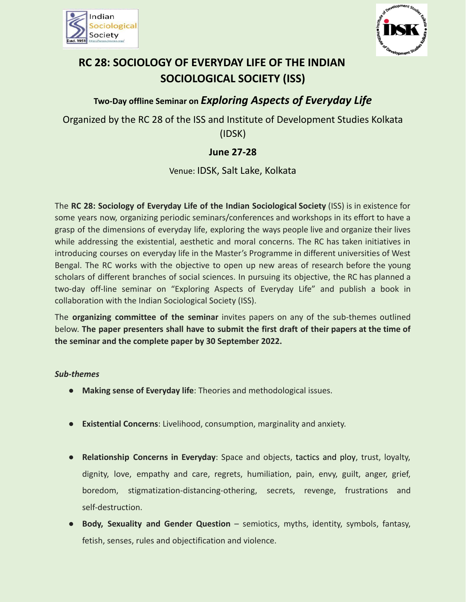



# **RC 28: SOCIOLOGY OF EVERYDAY LIFE OF THE INDIAN SOCIOLOGICAL SOCIETY (ISS)**

# **Two-Day offline Seminar on** *Exploring Aspects of Everyday Life*

Organized by the RC 28 of the ISS and Institute of Development Studies Kolkata (IDSK)

# **June 27-28**

Venue: IDSK, Salt Lake, Kolkata

The **RC 28: Sociology of Everyday Life of the Indian Sociological Society** (ISS) is in existence for some years now, organizing periodic seminars/conferences and workshops in its effort to have a grasp of the dimensions of everyday life, exploring the ways people live and organize their lives while addressing the existential, aesthetic and moral concerns. The RC has taken initiatives in introducing courses on everyday life in the Master's Programme in different universities of West Bengal. The RC works with the objective to open up new areas of research before the young scholars of different branches of social sciences. In pursuing its objective, the RC has planned a two-day off-line seminar on "Exploring Aspects of Everyday Life" and publish a book in collaboration with the Indian Sociological Society (ISS).

The **organizing committee of the seminar** invites papers on any of the sub-themes outlined below. **The paper presenters shall have to submit the first draft of their papers at the time of the seminar and the complete paper by 30 September 2022.**

#### *Sub-themes*

- **Making sense of Everyday life**: Theories and methodological issues.
- **Existential Concerns**: Livelihood, consumption, marginality and anxiety.
- **Relationship Concerns in Everyday**: Space and objects, tactics and ploy, trust, loyalty, dignity, love, empathy and care, regrets, humiliation, pain, envy, guilt, anger, grief, boredom, stigmatization-distancing-othering, secrets, revenge, frustrations and self-destruction.
- **Body, Sexuality and Gender Question** semiotics, myths, identity, symbols, fantasy, fetish, senses, rules and objectification and violence.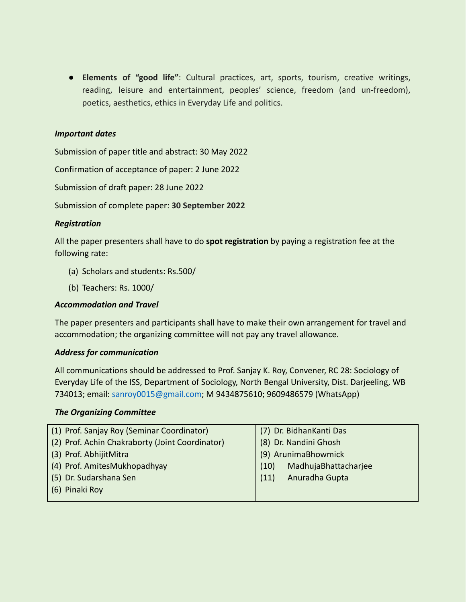● **Elements of "good life"**: Cultural practices, art, sports, tourism, creative writings, reading, leisure and entertainment, peoples' science, freedom (and un-freedom), poetics, aesthetics, ethics in Everyday Life and politics.

#### *Important dates*

Submission of paper title and abstract: 30 May 2022

Confirmation of acceptance of paper: 2 June 2022

Submission of draft paper: 28 June 2022

Submission of complete paper: **30 September 2022**

#### *Registration*

All the paper presenters shall have to do **spot registration** by paying a registration fee at the following rate:

- (a) Scholars and students: Rs.500/
- (b) Teachers: Rs. 1000/

#### *Accommodation and Travel*

The paper presenters and participants shall have to make their own arrangement for travel and accommodation; the organizing committee will not pay any travel allowance.

#### *Address for communication*

All communications should be addressed to Prof. Sanjay K. Roy, Convener, RC 28: Sociology of Everyday Life of the ISS, Department of Sociology, North Bengal University, Dist. Darjeeling, WB 734013; email: [sanroy0015@gmail.com](mailto:sanroy0015@gmail.com); M 9434875610; 9609486579 (WhatsApp)

#### *The Organizing Committee*

| (1) Prof. Sanjay Roy (Seminar Coordinator)      | (7) Dr. BidhanKanti Das      |
|-------------------------------------------------|------------------------------|
| (2) Prof. Achin Chakraborty (Joint Coordinator) | (8) Dr. Nandini Ghosh        |
| (3) Prof. AbhijitMitra                          | (9) ArunimaBhowmick          |
| (4) Prof. AmitesMukhopadhyay                    | MadhujaBhattacharjee<br>(10) |
| (5) Dr. Sudarshana Sen                          | Anuradha Gupta<br>(11)       |
| (6) Pinaki Roy                                  |                              |
|                                                 |                              |